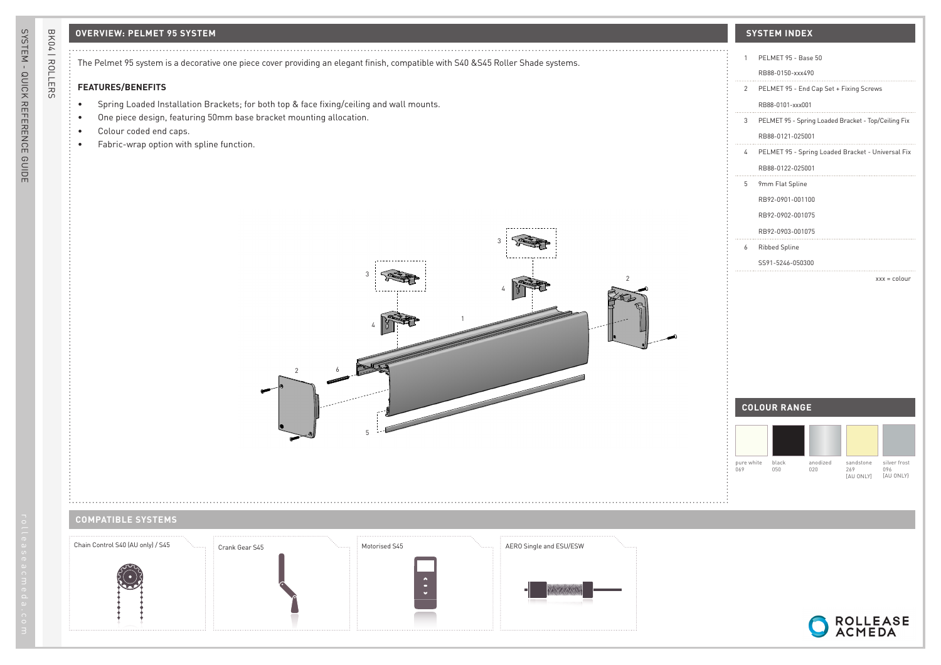## **OVERVIEW: PELMET 95 SYSTEM SYSTEM INDEX**

BK04 | ROLLERS

BK04 | ROLLERS

The Pelmet 95 system is a decorative one piece cover providing an elegant finish, compatible with S40 &S45 Roller Shade systems.

2

6

4

3

## **FEATURES/BENEFITS**

- Spring Loaded Installation Brackets; for both top & face fixing/ceiling and wall mounts.
- One piece design, featuring 50mm base bracket mounting allocation.
- Colour coded end caps.
- Fabric-wrap option with spline function.



## **COMPATIBLE SYSTEMS**

 $1.1.1.$ 



1

5

4

3

2